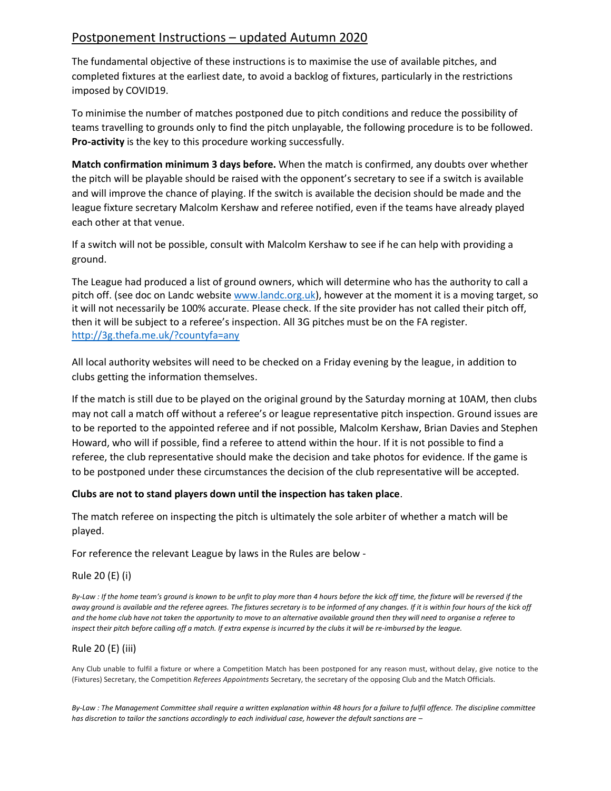# Postponement Instructions – updated Autumn 2020

The fundamental objective of these instructions is to maximise the use of available pitches, and completed fixtures at the earliest date, to avoid a backlog of fixtures, particularly in the restrictions imposed by COVID19.

To minimise the number of matches postponed due to pitch conditions and reduce the possibility of teams travelling to grounds only to find the pitch unplayable, the following procedure is to be followed. **Pro-activity** is the key to this procedure working successfully.

**Match confirmation minimum 3 days before.** When the match is confirmed, any doubts over whether the pitch will be playable should be raised with the opponent's secretary to see if a switch is available and will improve the chance of playing. If the switch is available the decision should be made and the league fixture secretary Malcolm Kershaw and referee notified, even if the teams have already played each other at that venue.

If a switch will not be possible, consult with Malcolm Kershaw to see if he can help with providing a ground.

The League had produced a list of ground owners, which will determine who has the authority to call a pitch off. (see doc on Landc websit[e www.landc.org.uk\)](http://www.landc.org.uk/), however at the moment it is a moving target, so it will not necessarily be 100% accurate. Please check. If the site provider has not called their pitch off, then it will be subject to a referee's inspection. All 3G pitches must be on the FA register. <http://3g.thefa.me.uk/?countyfa=any>

All local authority websites will need to be checked on a Friday evening by the league, in addition to clubs getting the information themselves.

If the match is still due to be played on the original ground by the Saturday morning at 10AM, then clubs may not call a match off without a referee's or league representative pitch inspection. Ground issues are to be reported to the appointed referee and if not possible, Malcolm Kershaw, Brian Davies and Stephen Howard, who will if possible, find a referee to attend within the hour. If it is not possible to find a referee, the club representative should make the decision and take photos for evidence. If the game is to be postponed under these circumstances the decision of the club representative will be accepted.

## **Clubs are not to stand players down until the inspection has taken place**.

The match referee on inspecting the pitch is ultimately the sole arbiter of whether a match will be played.

For reference the relevant League by laws in the Rules are below -

## Rule 20 (E) (i)

*By-Law : If the home team's ground is known to be unfit to play more than 4 hours before the kick off time, the fixture will be reversed if the away ground is available and the referee agrees. The fixtures secretary is to be informed of any changes. If it is within four hours of the kick off and the home club have not taken the opportunity to move to an alternative available ground then they will need to organise a referee to inspect their pitch before calling off a match. If extra expense is incurred by the clubs it will be re-imbursed by the league.* 

## Rule 20 (E) (iii)

Any Club unable to fulfil a fixture or where a Competition Match has been postponed for any reason must, without delay, give notice to the (Fixtures) Secretary, the Competition *Referees Appointments* Secretary, the secretary of the opposing Club and the Match Officials.

*By-Law : The Management Committee shall require a written explanation within 48 hours for a failure to fulfil offence. The discipline committee has discretion to tailor the sanctions accordingly to each individual case, however the default sanctions are –*